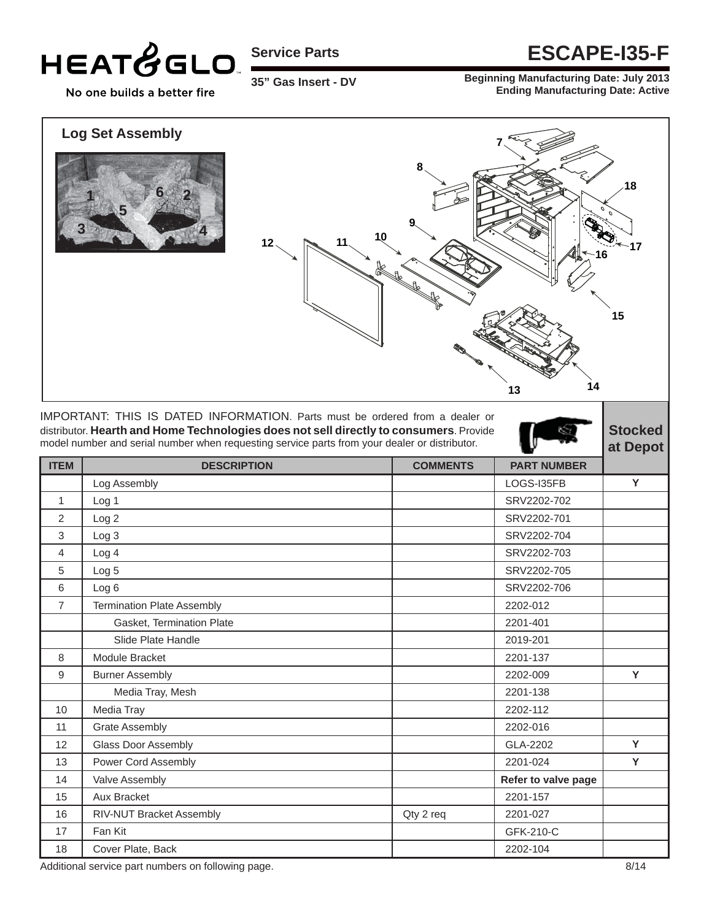

**35" Gas Insert - DV** 

### **Service Parts ESCAPE-I35-F**

**Beginning Manufacturing Date: July 2013 Ending Manufacturing Date: Active**

No one builds a better fire

#### **Log Set Assembly**





IMPORTANT: THIS IS DATED INFORMATION. Parts must be ordered from a dealer or distributor. **Hearth and Home Technologies does not sell directly to consumers**. Provide model number and serial number when requesting service parts from your dealer or distributor.

|                |                                   |                 |                     | u, popol |
|----------------|-----------------------------------|-----------------|---------------------|----------|
| <b>ITEM</b>    | <b>DESCRIPTION</b>                | <b>COMMENTS</b> | <b>PART NUMBER</b>  |          |
|                | Log Assembly                      |                 | LOGS-I35FB          | Y        |
| $\mathbf{1}$   | Log <sub>1</sub>                  |                 | SRV2202-702         |          |
| 2              | Log <sub>2</sub>                  |                 | SRV2202-701         |          |
| 3              | Log 3                             |                 | SRV2202-704         |          |
| 4              | Log <sub>4</sub>                  |                 | SRV2202-703         |          |
| 5              | Log <sub>5</sub>                  |                 | SRV2202-705         |          |
| 6              | Log <sub>6</sub>                  |                 | SRV2202-706         |          |
| $\overline{7}$ | <b>Termination Plate Assembly</b> |                 | 2202-012            |          |
|                | Gasket, Termination Plate         |                 | 2201-401            |          |
|                | Slide Plate Handle                |                 | 2019-201            |          |
| 8              | Module Bracket                    |                 | 2201-137            |          |
| 9              | <b>Burner Assembly</b>            |                 | 2202-009            | Y        |
|                | Media Tray, Mesh                  |                 | 2201-138            |          |
| 10             | Media Tray                        |                 | 2202-112            |          |
| 11             | <b>Grate Assembly</b>             |                 | 2202-016            |          |
| 12             | Glass Door Assembly               |                 | GLA-2202            | Y        |
| 13             | Power Cord Assembly               |                 | 2201-024            | Y        |
| 14             | Valve Assembly                    |                 | Refer to valve page |          |
| 15             | <b>Aux Bracket</b>                |                 | 2201-157            |          |
| 16             | RIV-NUT Bracket Assembly          | Qty 2 req       | 2201-027            |          |
| 17             | Fan Kit                           |                 | GFK-210-C           |          |
| 18             | Cover Plate, Back                 |                 | 2202-104            |          |

Additional service part numbers on following page. **8/14** and the service part numbers on following page.

**Stocked**  Depot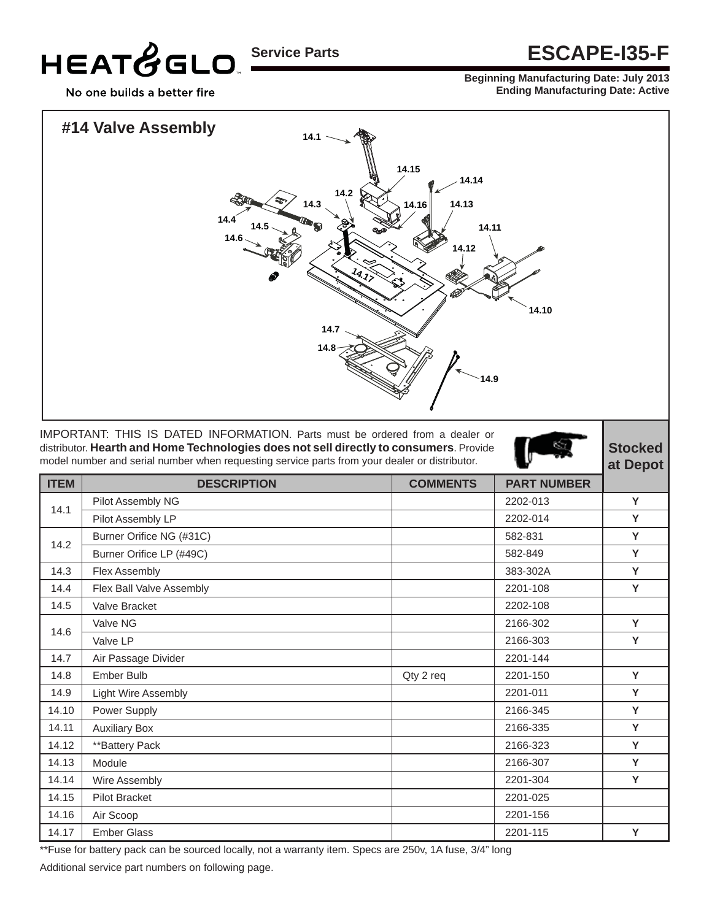## HEATGGLO

## **Service Parts ESCAPE-I35-F**

**Beginning Manufacturing Date: July 2013 Ending Manufacturing Date: Active**

No one builds a better fire



IMPORTANT: THIS IS DATED INFORMATION. Parts must be ordered from a dealer or distributor. **Hearth and Home Technologies does not sell directly to consumers**. Provide model number and serial number when requesting service parts from your dealer or distributor.

**Stocked at Depot**

| <b>ITEM</b> | <b>DESCRIPTION</b>       | <b>COMMENTS</b> | <b>PART NUMBER</b> |   |
|-------------|--------------------------|-----------------|--------------------|---|
| 14.1        | Pilot Assembly NG        |                 | 2202-013           | Y |
|             | Pilot Assembly LP        |                 | 2202-014           | Y |
| 14.2        | Burner Orifice NG (#31C) |                 | 582-831            | Y |
|             | Burner Orifice LP (#49C) |                 | 582-849            | Y |
| 14.3        | Flex Assembly            |                 | 383-302A           | Y |
| 14.4        | Flex Ball Valve Assembly |                 | 2201-108           | Y |
| 14.5        | Valve Bracket            |                 | 2202-108           |   |
| 14.6        | Valve NG                 |                 | 2166-302           | Y |
|             | Valve LP                 |                 | 2166-303           | Y |
| 14.7        | Air Passage Divider      |                 | 2201-144           |   |
| 14.8        | Ember Bulb               | Qty 2 req       | 2201-150           | Y |
| 14.9        | Light Wire Assembly      |                 | 2201-011           | Y |
| 14.10       | Power Supply             |                 | 2166-345           | Y |
| 14.11       | <b>Auxiliary Box</b>     |                 | 2166-335           | Y |
| 14.12       | **Battery Pack           |                 | 2166-323           | Y |
| 14.13       | Module                   |                 | 2166-307           | Y |
| 14.14       | Wire Assembly            |                 | 2201-304           | Y |
| 14.15       | <b>Pilot Bracket</b>     |                 | 2201-025           |   |
| 14.16       | Air Scoop                |                 | 2201-156           |   |
| 14.17       | <b>Ember Glass</b>       |                 | 2201-115           | Y |

\*\*Fuse for battery pack can be sourced locally, not a warranty item. Specs are 250v, 1A fuse, 3/4" long Additional service part numbers on following page.